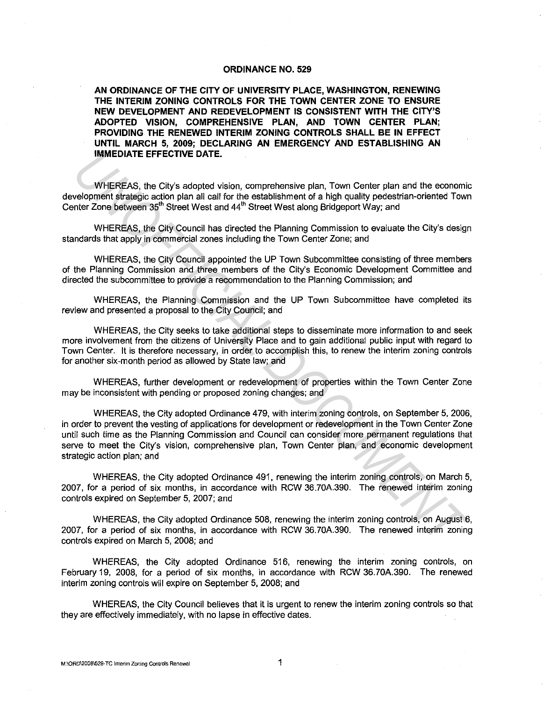## **ORDINANCE NO. 529**

**AN ORDINANCE OF THE CITY OF UNIVERSITY PLACE, WASHINGTON, RENEWING THE INTERIM ZONING CONTROLS FOR THE TOWN CENTER ZONE TO ENSURE NEW DEVELOPMENT AND REDEVELOPMENT IS CONSISTENT WITH THE CITY'S ADOPTED VISION, COMPREHENSIVE PLAN, AND TOWN CENTER PLAN; PROVIDING THE RENEWED INTERIM ZONING CONTROLS SHALL BE IN EFFECT UNTIL MARCH 5, 2009; DECLARING AN EMERGENCY AND ESTABLISHING AN IMMEDIATE EFFECTIVE DATE.** 

WHEREAS, the City's adopted vision, comprehensive plan, Town Center plan and the economic development strategic action plan all call for the establishment of a high quality pedestrian-oriented Town Center Zone between 35<sup>th</sup> Street West and 44<sup>th</sup> Street West along Bridgeport Way; and

WHEREAS, the City Council has directed the Planning Commission to evaluate the City's design standards that apply in commercial zones including the Town Center Zone; and

WHEREAS, the City Council appointed the UP Town Subcommittee consisting of three members of the Planning Commission and three members of the City's Economic Development Committee and directed the subcommittee to provide a recommendation to the Planning Commission; and

WHEREAS, the Planning Commission and the UP Town Subcommittee have completed its review and presented a proposal to the City Council; and

WHEREAS, the City seeks to take additional steps to disseminate more information to and seek more involvement from the citizens of University Place and to gain additional public input with regard to Town Center. It is therefore necessary, in order to accomplish this, to renew the interim zoning controls for another six-month period as allowed by State law; and

WHEREAS, further development or redevelopment of properties within the Town Center Zone may be inconsistent with pending or proposed zoning changes; and

WHEREAS, the City adopted Ordinance 479, with interim zoning controls, on September 5, 2006, in order to prevent the vesting of applications for development or redevelopment in the Town Center Zone until such time as the Planning Commission and Council can consider more permanent regulations that serve to meet the City's vision, comprehensive plan, Town Center plan, and economic development strategic action plan; and **IMMEDIATE EFFECTIVE DATE.**<br>
WHEREAS, the City's adopted vision, comprehensive plan, Town Center plan and the economic<br>
verificing cacion plan all call for the establishment of a high qualistima-oriented Town<br>
Inter-Zone b

WHEREAS, the City adopted Ordinance 491, renewing the interim zoning controls, on March 5, 2007, for a period of six months, in accordance with RCW 36.70A.390. The renewed interim zoning controls expired on September 5, 2007; and

WHEREAS, the City adopted Ordinance 508, renewing the interim zoning controls, on August 6, 2007, for a period of six months, in accordance with RCW 36.70A.390. The renewed interim zoning controls expired on March 5, 2008; and

WHEREAS, the City adopted Ordinance 516, renewing the interim zoning controls, on February 19, 2008, for a period of six months, in accordance with RCW 36.70A.390. The renewed interim zoning controls will expire on September 5, 2008; and

WHEREAS, the City Council believes that it is urgent to renew the interim zoning controls so that they are effectively immediately, with no lapse in effective dates.